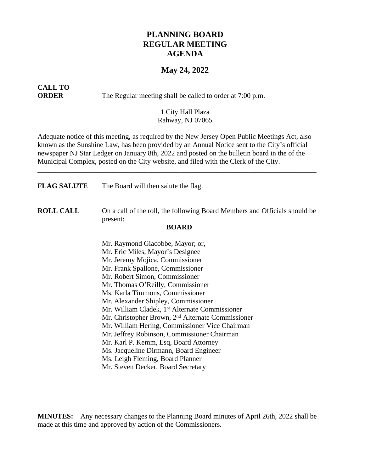## **PLANNING BOARD REGULAR MEETING AGENDA**

### **May 24, 2022**

# **CALL TO**

**ORDER** The Regular meeting shall be called to order at 7:00 p.m.

#### 1 City Hall Plaza Rahway, NJ 07065

Adequate notice of this meeting, as required by the New Jersey Open Public Meetings Act, also known as the Sunshine Law, has been provided by an Annual Notice sent to the City's official newspaper NJ Star Ledger on January 8th, 2022 and posted on the bulletin board in the of the Municipal Complex, posted on the City website, and filed with the Clerk of the City.

\_\_\_\_\_\_\_\_\_\_\_\_\_\_\_\_\_\_\_\_\_\_\_\_\_\_\_\_\_\_\_\_\_\_\_\_\_\_\_\_\_\_\_\_\_\_\_\_\_\_\_\_\_\_\_\_\_\_\_\_\_\_\_\_\_\_\_\_\_\_\_\_\_\_\_\_\_\_

| <b>FLAG SALUTE</b> | The Board will then salute the flag.                                                                   |
|--------------------|--------------------------------------------------------------------------------------------------------|
| <b>ROLL CALL</b>   | On a call of the roll, the following Board Members and Officials should be<br>present:<br><b>BOARD</b> |
|                    | Mr. Raymond Giacobbe, Mayor; or,                                                                       |
|                    | Mr. Eric Miles, Mayor's Designee                                                                       |
|                    | Mr. Jeremy Mojica, Commissioner                                                                        |
|                    | Mr. Frank Spallone, Commissioner                                                                       |
|                    | Mr. Robert Simon, Commissioner                                                                         |
|                    | Mr. Thomas O'Reilly, Commissioner                                                                      |
|                    | Ms. Karla Timmons, Commissioner                                                                        |
|                    | Mr. Alexander Shipley, Commissioner                                                                    |
|                    | Mr. William Cladek, 1 <sup>st</sup> Alternate Commissioner                                             |
|                    | Mr. Christopher Brown, 2 <sup>nd</sup> Alternate Commissioner                                          |
|                    | Mr. William Hering, Commissioner Vice Chairman                                                         |
|                    | Mr. Jeffrey Robinson, Commissioner Chairman                                                            |
|                    | Mr. Karl P. Kemm, Esq, Board Attorney                                                                  |
|                    | Ms. Jacqueline Dirmann, Board Engineer                                                                 |
|                    | Ms. Leigh Fleming, Board Planner                                                                       |
|                    | Mr. Steven Decker, Board Secretary                                                                     |

**MINUTES:** Any necessary changes to the Planning Board minutes of April 26th, 2022 shall be made at this time and approved by action of the Commissioners.